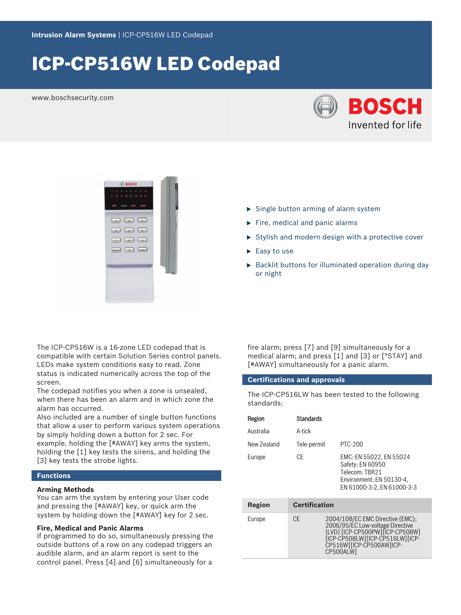# ICP‑CP516W LED Codepad

www.boschsecurity.com





- $\triangleright$  Single button arming of alarm system
- $\blacktriangleright$  Fire, medical and panic alarms
- $\triangleright$  Stylish and modern design with a protective cover
- $\blacktriangleright$  Easy to use
- $\blacktriangleright$  Backlit buttons for illuminated operation during day or night

The ICP‑CP516W is a 16‑zone LED codepad that is compatible with certain Solution Series control panels. LEDs make system conditions easy to read. Zone status is indicated numerically across the top of the screen.

The codepad notifies you when a zone is unsealed, when there has been an alarm and in which zone the alarm has occurred.

Also included are a number of single button functions that allow a user to perform various system operations by simply holding down a button for 2 sec. For example, holding the [#AWAY] key arms the system, holding the [1] key tests the sirens, and holding the [3] key tests the strobe lights.

# **Functions**

## **Arming Methods**

You can arm the system by entering your User code and pressing the [#AWAY] key, or quick arm the system by holding down the [#AWAY] key for 2 sec.

## **Fire, Medical and Panic Alarms**

If programmed to do so, simultaneously pressing the outside buttons of a row on any codepad triggers an audible alarm, and an alarm report is sent to the control panel. Press [4] and [6] simultaneously for a fire alarm; press [7] and [9] simultaneously for a medical alarm; and press [1] and [3] or [\*STAY] and [#AWAY] simultaneously for a panic alarm.

## **Certifications and approvals**

The ICP-CP516LW has been tested to the following standards:

| Region      | <b>Standards</b>     |                                                                                                                         |
|-------------|----------------------|-------------------------------------------------------------------------------------------------------------------------|
| Australia   | A-tick               |                                                                                                                         |
| New Zealand | Tele-permit          | PTC-200                                                                                                                 |
| Europe      | CF                   | EMC: EN 55022, EN 55024<br>Safety: EN 60950<br>Telecom: TBR21<br>Environment: EN 50130-4,<br>EN 61000-3-2, EN 61000-3-3 |
| Region      | <b>Certification</b> |                                                                                                                         |

| Europe | CF. | 2004/108/EC EMC Directive (EMC);<br>2006/95/EC Low-voltage Directive<br>(LVD) [ICP-CP500PW] [ICP-CP508W]<br>[ICP-CP508LW][ICP-CP516LW][ICP-<br>CP516WIIICP-CP500AWIICP-<br>CP500ALW1 |
|--------|-----|--------------------------------------------------------------------------------------------------------------------------------------------------------------------------------------|
|        |     |                                                                                                                                                                                      |